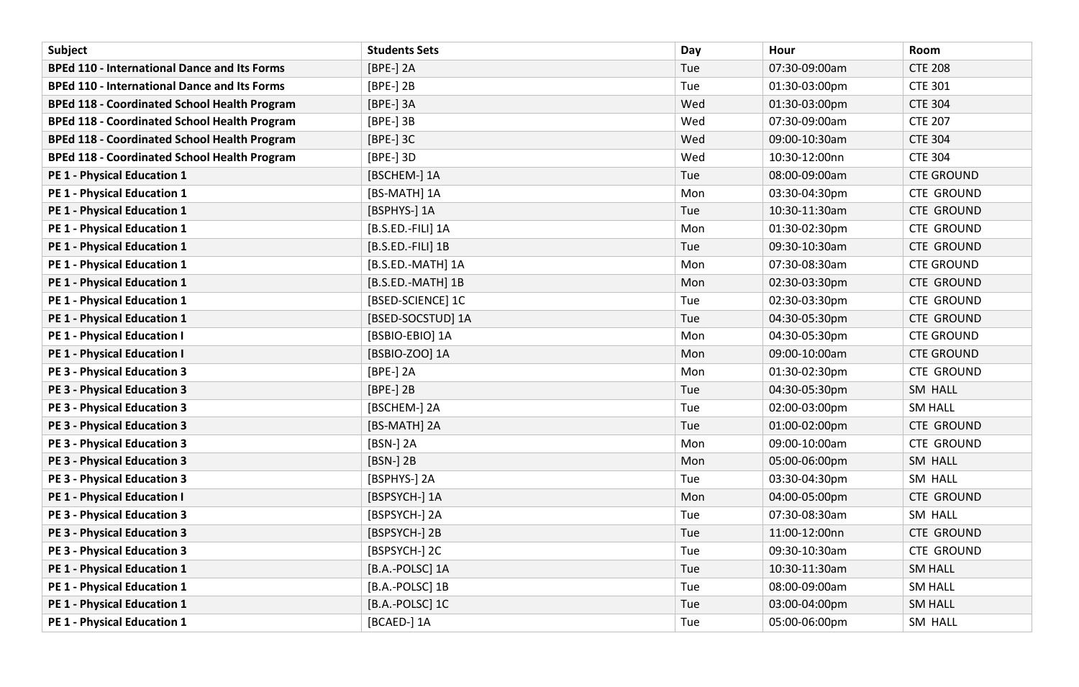| Subject                                             | <b>Students Sets</b> | Day | Hour          | Room              |
|-----------------------------------------------------|----------------------|-----|---------------|-------------------|
| <b>BPEd 110 - International Dance and Its Forms</b> | [BPE-] 2A            | Tue | 07:30-09:00am | <b>CTE 208</b>    |
| <b>BPEd 110 - International Dance and Its Forms</b> | [BPE-] 2B            | Tue | 01:30-03:00pm | <b>CTE 301</b>    |
| <b>BPEd 118 - Coordinated School Health Program</b> | [BPE-] 3A            | Wed | 01:30-03:00pm | <b>CTE 304</b>    |
| <b>BPEd 118 - Coordinated School Health Program</b> | [BPE-] 3B            | Wed | 07:30-09:00am | <b>CTE 207</b>    |
| <b>BPEd 118 - Coordinated School Health Program</b> | [BPE-] 3C            | Wed | 09:00-10:30am | <b>CTE 304</b>    |
| <b>BPEd 118 - Coordinated School Health Program</b> | [BPE-] 3D            | Wed | 10:30-12:00nn | <b>CTE 304</b>    |
| PE 1 - Physical Education 1                         | [BSCHEM-] 1A         | Tue | 08:00-09:00am | <b>CTE GROUND</b> |
| <b>PE 1 - Physical Education 1</b>                  | [BS-MATH] 1A         | Mon | 03:30-04:30pm | <b>CTE GROUND</b> |
| PE 1 - Physical Education 1                         | [BSPHYS-] 1A         | Tue | 10:30-11:30am | <b>CTE GROUND</b> |
| PE 1 - Physical Education 1                         | [B.S.ED.-FILI] 1A    | Mon | 01:30-02:30pm | <b>CTE GROUND</b> |
| PE 1 - Physical Education 1                         | [B.S.ED.-FILI] 1B    | Tue | 09:30-10:30am | <b>CTE GROUND</b> |
| PE 1 - Physical Education 1                         | [B.S.ED.-MATH] 1A    | Mon | 07:30-08:30am | <b>CTE GROUND</b> |
| <b>PE 1 - Physical Education 1</b>                  | [B.S.ED.-MATH] 1B    | Mon | 02:30-03:30pm | <b>CTE GROUND</b> |
| PE 1 - Physical Education 1                         | [BSED-SCIENCE] 1C    | Tue | 02:30-03:30pm | <b>CTE GROUND</b> |
| <b>PE 1 - Physical Education 1</b>                  | [BSED-SOCSTUD] 1A    | Tue | 04:30-05:30pm | <b>CTE GROUND</b> |
| <b>PE 1 - Physical Education I</b>                  | [BSBIO-EBIO] 1A      | Mon | 04:30-05:30pm | <b>CTE GROUND</b> |
| <b>PE 1 - Physical Education I</b>                  | [BSBIO-ZOO] 1A       | Mon | 09:00-10:00am | <b>CTE GROUND</b> |
| <b>PE 3 - Physical Education 3</b>                  | [BPE-] 2A            | Mon | 01:30-02:30pm | <b>CTE GROUND</b> |
| <b>PE 3 - Physical Education 3</b>                  | [BPE-] 2B            | Tue | 04:30-05:30pm | SM HALL           |
| <b>PE 3 - Physical Education 3</b>                  | [BSCHEM-] 2A         | Tue | 02:00-03:00pm | <b>SM HALL</b>    |
| <b>PE 3 - Physical Education 3</b>                  | [BS-MATH] 2A         | Tue | 01:00-02:00pm | <b>CTE GROUND</b> |
| <b>PE 3 - Physical Education 3</b>                  | [BSN-] 2A            | Mon | 09:00-10:00am | <b>CTE GROUND</b> |
| <b>PE 3 - Physical Education 3</b>                  | [BSN-] 2B            | Mon | 05:00-06:00pm | SM HALL           |
| <b>PE 3 - Physical Education 3</b>                  | [BSPHYS-] 2A         | Tue | 03:30-04:30pm | SM HALL           |
| <b>PE 1 - Physical Education I</b>                  | [BSPSYCH-] 1A        | Mon | 04:00-05:00pm | <b>CTE GROUND</b> |
| <b>PE 3 - Physical Education 3</b>                  | [BSPSYCH-] 2A        | Tue | 07:30-08:30am | SM HALL           |
| <b>PE 3 - Physical Education 3</b>                  | [BSPSYCH-] 2B        | Tue | 11:00-12:00nn | <b>CTE GROUND</b> |
| <b>PE 3 - Physical Education 3</b>                  | [BSPSYCH-] 2C        | Tue | 09:30-10:30am | <b>CTE GROUND</b> |
| PE 1 - Physical Education 1                         | [B.A.-POLSC] 1A      | Tue | 10:30-11:30am | <b>SM HALL</b>    |
| <b>PE 1 - Physical Education 1</b>                  | [B.A.-POLSC] 1B      | Tue | 08:00-09:00am | <b>SM HALL</b>    |
| PE 1 - Physical Education 1                         | [B.A.-POLSC] 1C      | Tue | 03:00-04:00pm | <b>SM HALL</b>    |
| PE 1 - Physical Education 1                         | [BCAED-] 1A          | Tue | 05:00-06:00pm | SM HALL           |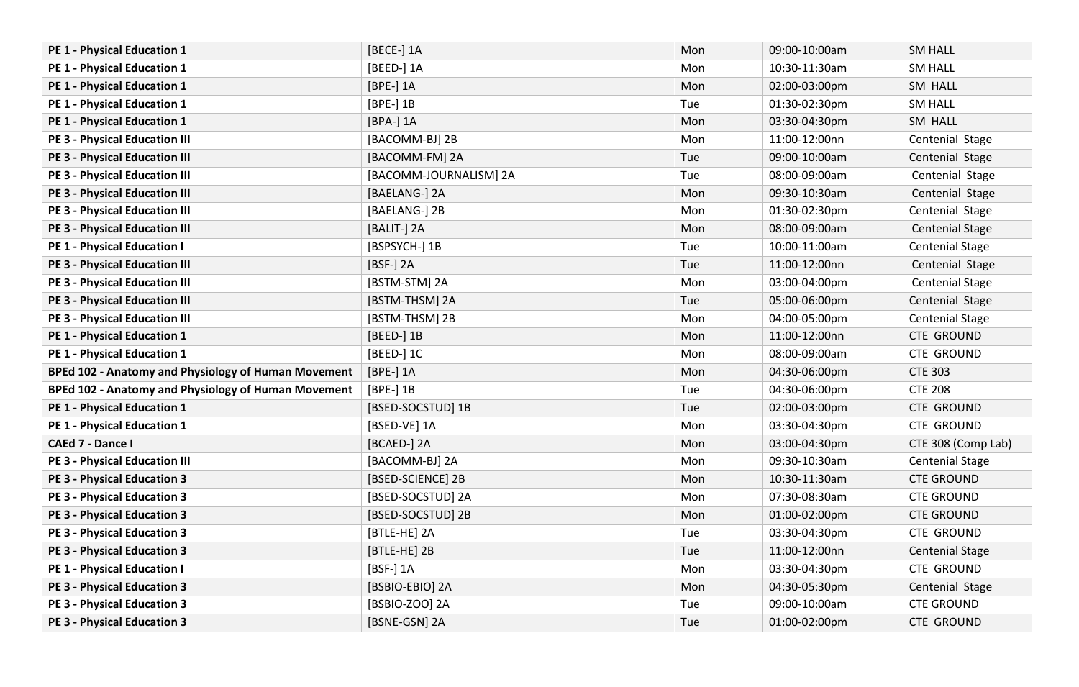| PE 1 - Physical Education 1                         | [BECE-] 1A             | Mon | 09:00-10:00am | <b>SM HALL</b>         |
|-----------------------------------------------------|------------------------|-----|---------------|------------------------|
| PE 1 - Physical Education 1                         | [BEED-] 1A             | Mon | 10:30-11:30am | <b>SM HALL</b>         |
| PE 1 - Physical Education 1                         | [BPE-] 1A              | Mon | 02:00-03:00pm | SM HALL                |
| PE 1 - Physical Education 1                         | $[BPE-]$ 1B            | Tue | 01:30-02:30pm | <b>SM HALL</b>         |
| PE 1 - Physical Education 1                         | [BPA-] 1A              | Mon | 03:30-04:30pm | SM HALL                |
| <b>PE 3 - Physical Education III</b>                | [BACOMM-BJ] 2B         | Mon | 11:00-12:00nn | Centenial Stage        |
| <b>PE 3 - Physical Education III</b>                | [BACOMM-FM] 2A         | Tue | 09:00-10:00am | Centenial Stage        |
| <b>PE 3 - Physical Education III</b>                | [BACOMM-JOURNALISM] 2A | Tue | 08:00-09:00am | Centenial Stage        |
| <b>PE 3 - Physical Education III</b>                | [BAELANG-] 2A          | Mon | 09:30-10:30am | Centenial Stage        |
| <b>PE 3 - Physical Education III</b>                | [BAELANG-] 2B          | Mon | 01:30-02:30pm | Centenial Stage        |
| <b>PE 3 - Physical Education III</b>                | [BALIT-] 2A            | Mon | 08:00-09:00am | <b>Centenial Stage</b> |
| <b>PE 1 - Physical Education I</b>                  | [BSPSYCH-] 1B          | Tue | 10:00-11:00am | <b>Centenial Stage</b> |
| <b>PE 3 - Physical Education III</b>                | [BSF-] 2A              | Tue | 11:00-12:00nn | Centenial Stage        |
| <b>PE 3 - Physical Education III</b>                | [BSTM-STM] 2A          | Mon | 03:00-04:00pm | <b>Centenial Stage</b> |
| <b>PE 3 - Physical Education III</b>                | [BSTM-THSM] 2A         | Tue | 05:00-06:00pm | Centenial Stage        |
| <b>PE 3 - Physical Education III</b>                | [BSTM-THSM] 2B         | Mon | 04:00-05:00pm | <b>Centenial Stage</b> |
| PE 1 - Physical Education 1                         | [BEED-] 1B             | Mon | 11:00-12:00nn | <b>CTE GROUND</b>      |
| PE 1 - Physical Education 1                         | [BEED-] 1C             | Mon | 08:00-09:00am | <b>CTE GROUND</b>      |
| BPEd 102 - Anatomy and Physiology of Human Movement | [BPE-] 1A              | Mon | 04:30-06:00pm | <b>CTE 303</b>         |
| BPEd 102 - Anatomy and Physiology of Human Movement | [BPE-] 1B              | Tue | 04:30-06:00pm | <b>CTE 208</b>         |
| PE 1 - Physical Education 1                         | [BSED-SOCSTUD] 1B      | Tue | 02:00-03:00pm | <b>CTE GROUND</b>      |
| PE 1 - Physical Education 1                         | [BSED-VE] 1A           | Mon | 03:30-04:30pm | <b>CTE GROUND</b>      |
| <b>CAEd 7 - Dance I</b>                             | [BCAED-] 2A            | Mon | 03:00-04:30pm | CTE 308 (Comp Lab)     |
| <b>PE 3 - Physical Education III</b>                | [BACOMM-BJ] 2A         | Mon | 09:30-10:30am | <b>Centenial Stage</b> |
| <b>PE 3 - Physical Education 3</b>                  | [BSED-SCIENCE] 2B      | Mon | 10:30-11:30am | <b>CTE GROUND</b>      |
| <b>PE 3 - Physical Education 3</b>                  | [BSED-SOCSTUD] 2A      | Mon | 07:30-08:30am | <b>CTE GROUND</b>      |
| <b>PE 3 - Physical Education 3</b>                  | [BSED-SOCSTUD] 2B      | Mon | 01:00-02:00pm | <b>CTE GROUND</b>      |
| <b>PE 3 - Physical Education 3</b>                  | [BTLE-HE] 2A           | Tue | 03:30-04:30pm | <b>CTE GROUND</b>      |
| <b>PE 3 - Physical Education 3</b>                  | [BTLE-HE] 2B           | Tue | 11:00-12:00nn | <b>Centenial Stage</b> |
| <b>PE 1 - Physical Education I</b>                  | [BSF-] 1A              | Mon | 03:30-04:30pm | <b>CTE GROUND</b>      |
| <b>PE 3 - Physical Education 3</b>                  | [BSBIO-EBIO] 2A        | Mon | 04:30-05:30pm | Centenial Stage        |
| <b>PE 3 - Physical Education 3</b>                  | [BSBIO-ZOO] 2A         | Tue | 09:00-10:00am | <b>CTE GROUND</b>      |
| <b>PE 3 - Physical Education 3</b>                  | [BSNE-GSN] 2A          | Tue | 01:00-02:00pm | <b>CTE GROUND</b>      |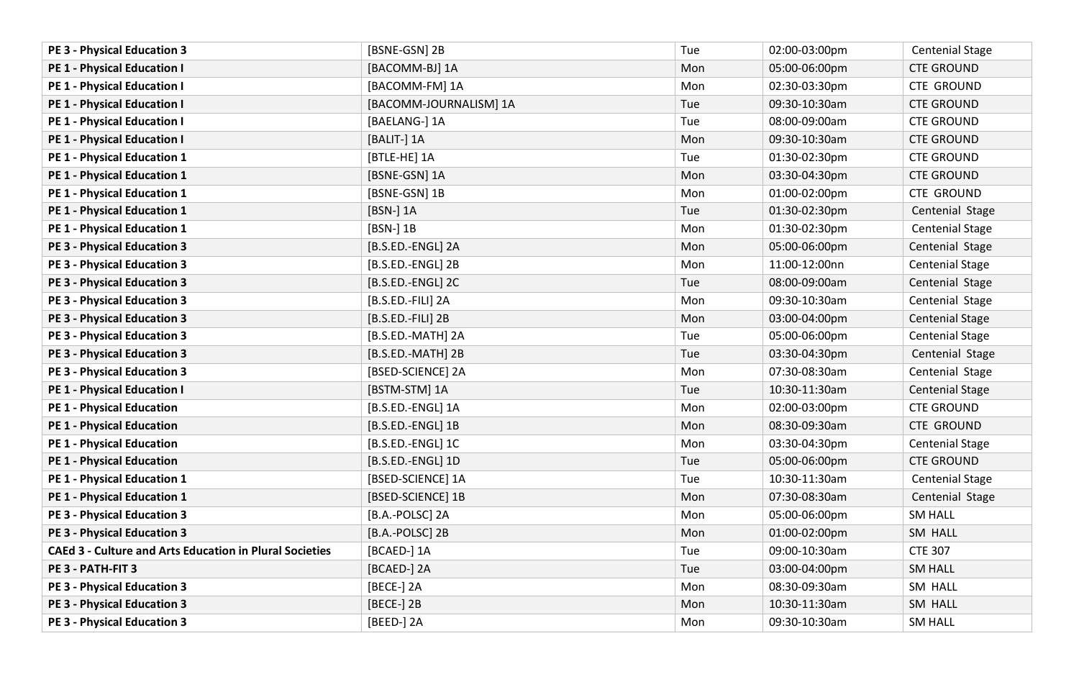| <b>PE 3 - Physical Education 3</b>                             | [BSNE-GSN] 2B          | Tue | 02:00-03:00pm | <b>Centenial Stage</b> |
|----------------------------------------------------------------|------------------------|-----|---------------|------------------------|
| <b>PE 1 - Physical Education I</b>                             | [BACOMM-BJ] 1A         | Mon | 05:00-06:00pm | <b>CTE GROUND</b>      |
| PE 1 - Physical Education I                                    | [BACOMM-FM] 1A         | Mon | 02:30-03:30pm | <b>CTE GROUND</b>      |
| <b>PE 1 - Physical Education I</b>                             | [BACOMM-JOURNALISM] 1A | Tue | 09:30-10:30am | <b>CTE GROUND</b>      |
| PE 1 - Physical Education I                                    | [BAELANG-] 1A          | Tue | 08:00-09:00am | <b>CTE GROUND</b>      |
| <b>PE 1 - Physical Education I</b>                             | [BALIT-] 1A            | Mon | 09:30-10:30am | <b>CTE GROUND</b>      |
| PE 1 - Physical Education 1                                    | [BTLE-HE] 1A           | Tue | 01:30-02:30pm | <b>CTE GROUND</b>      |
| <b>PE 1 - Physical Education 1</b>                             | [BSNE-GSN] 1A          | Mon | 03:30-04:30pm | <b>CTE GROUND</b>      |
| PE 1 - Physical Education 1                                    | [BSNE-GSN] 1B          | Mon | 01:00-02:00pm | <b>CTE GROUND</b>      |
| PE 1 - Physical Education 1                                    | [BSN-] 1A              | Tue | 01:30-02:30pm | Centenial Stage        |
| PE 1 - Physical Education 1                                    | [BSN-] 1B              | Mon | 01:30-02:30pm | <b>Centenial Stage</b> |
| <b>PE 3 - Physical Education 3</b>                             | [B.S.ED.-ENGL] 2A      | Mon | 05:00-06:00pm | Centenial Stage        |
| <b>PE 3 - Physical Education 3</b>                             | [B.S.ED.-ENGL] 2B      | Mon | 11:00-12:00nn | <b>Centenial Stage</b> |
| <b>PE 3 - Physical Education 3</b>                             | [B.S.ED.-ENGL] 2C      | Tue | 08:00-09:00am | Centenial Stage        |
| <b>PE 3 - Physical Education 3</b>                             | [B.S.ED.-FILI] 2A      | Mon | 09:30-10:30am | Centenial Stage        |
| <b>PE 3 - Physical Education 3</b>                             | [B.S.ED.-FILI] 2B      | Mon | 03:00-04:00pm | <b>Centenial Stage</b> |
| <b>PE 3 - Physical Education 3</b>                             | [B.S.ED.-MATH] 2A      | Tue | 05:00-06:00pm | <b>Centenial Stage</b> |
| <b>PE 3 - Physical Education 3</b>                             | [B.S.ED.-MATH] 2B      | Tue | 03:30-04:30pm | Centenial Stage        |
| <b>PE 3 - Physical Education 3</b>                             | [BSED-SCIENCE] 2A      | Mon | 07:30-08:30am | Centenial Stage        |
| <b>PE 1 - Physical Education I</b>                             | [BSTM-STM] 1A          | Tue | 10:30-11:30am | <b>Centenial Stage</b> |
| <b>PE 1 - Physical Education</b>                               | [B.S.ED.-ENGL] 1A      | Mon | 02:00-03:00pm | <b>CTE GROUND</b>      |
| <b>PE 1 - Physical Education</b>                               | [B.S.ED.-ENGL] 1B      | Mon | 08:30-09:30am | <b>CTE GROUND</b>      |
| <b>PE 1 - Physical Education</b>                               | [B.S.ED.-ENGL] 1C      | Mon | 03:30-04:30pm | <b>Centenial Stage</b> |
| <b>PE 1 - Physical Education</b>                               | [B.S.ED.-ENGL] 1D      | Tue | 05:00-06:00pm | <b>CTE GROUND</b>      |
| PE 1 - Physical Education 1                                    | [BSED-SCIENCE] 1A      | Tue | 10:30-11:30am | <b>Centenial Stage</b> |
| PE 1 - Physical Education 1                                    | [BSED-SCIENCE] 1B      | Mon | 07:30-08:30am | Centenial Stage        |
| <b>PE 3 - Physical Education 3</b>                             | [B.A.-POLSC] 2A        | Mon | 05:00-06:00pm | <b>SM HALL</b>         |
| <b>PE 3 - Physical Education 3</b>                             | [B.A.-POLSC] 2B        | Mon | 01:00-02:00pm | SM HALL                |
| <b>CAEd 3 - Culture and Arts Education in Plural Societies</b> | [BCAED-] 1A            | Tue | 09:00-10:30am | <b>CTE 307</b>         |
| PE 3 - PATH-FIT 3                                              | [BCAED-] 2A            | Tue | 03:00-04:00pm | <b>SM HALL</b>         |
| <b>PE 3 - Physical Education 3</b>                             | [BECE-] 2A             | Mon | 08:30-09:30am | SM HALL                |
| <b>PE 3 - Physical Education 3</b>                             | [BECE-] 2B             | Mon | 10:30-11:30am | SM HALL                |
| <b>PE 3 - Physical Education 3</b>                             | [BEED-] 2A             | Mon | 09:30-10:30am | <b>SM HALL</b>         |